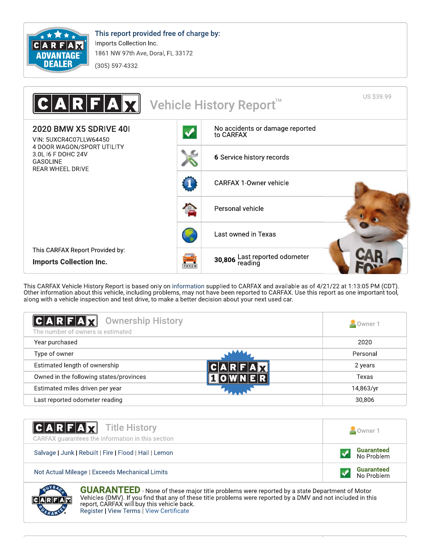

This report provided free of charge by: Imports Collection Inc. 1861 NW 97th Ave, Doral, FL 33172

(305) 597-4332



This CARFAX Vehicle History Report is based only on information supplied to CARFAX and available as of 4/21/22 at 1:13:05 PM (CDT).<br>Other information about this vehicle, including problems, may not have been reported to CA along with a vehicle inspection and test drive, to make a better decision about your next used car.

| <b>Ownership History</b><br>$ C $ A R $ F $ A $ X $<br>The number of owners is estimated | Owner 1   |
|------------------------------------------------------------------------------------------|-----------|
| Year purchased                                                                           | 2020      |
| Type of owner                                                                            | Personal  |
| Estimated length of ownership                                                            | 2 years   |
| Owned in the following states/provinces                                                  | Texas     |
| Estimated miles driven per year                                                          | 14,863/yr |
| Last reported odometer reading                                                           | 30,806    |

| <b>CARFAX</b> Title History<br>CARFAX quarantees the information in this section | Owner 1                         |
|----------------------------------------------------------------------------------|---------------------------------|
| Salvage   Junk   Rebuilt   Fire   Flood   Hail   Lemon                           | <b>Guaranteed</b><br>No Problem |
| Not Actual Mileage   Exceeds Mechanical Limits                                   | <b>Guaranteed</b><br>No Problem |

**GUARANTEED** - None of these major title problems were reported by a state Department of Motor Vehicles (DMV). If you find that any of these title problems were reported by a DMV and not included in this report, CARFAX will buy this vehicle back. Register | View Terms | View Certificate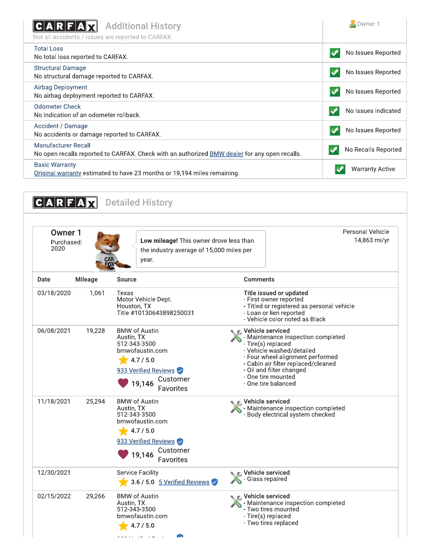| <b>Additional History</b><br>C A R F A<br>Not all accidents / issues are reported to CARFAX                                        | Owner 1                |
|------------------------------------------------------------------------------------------------------------------------------------|------------------------|
| <b>Total Loss</b><br>No total loss reported to CARFAX.                                                                             | No Issues Reported     |
| <b>Structural Damage</b><br>No structural damage reported to CARFAX.                                                               | No Issues Reported     |
| Airbag Deployment<br>No airbag deployment reported to CARFAX.                                                                      | No Issues Reported     |
| Odometer Check<br>No indication of an odometer rollback.                                                                           | No Issues Indicated    |
| Accident / Damage<br>No accidents or damage reported to CARFAX.                                                                    | No Issues Reported     |
| <b>Manufacturer Recall</b><br>No open recalls reported to CARFAX. Check with an authorized <b>BMW</b> dealer for any open recalls. | No Recalls Reported    |
| <b>Basic Warranty</b><br>Original warranty estimated to have 23 months or 19,194 miles remaining.                                  | <b>Warranty Active</b> |

| Owner 1<br>Purchased:<br>2020 |         | Low mileage! This owner drove less than<br>the industry average of 15,000 miles per<br>year.                                                  | <b>Personal Vehicle</b>                                                                                                                                                                                                                                       | 14,863 mi/yr |
|-------------------------------|---------|-----------------------------------------------------------------------------------------------------------------------------------------------|---------------------------------------------------------------------------------------------------------------------------------------------------------------------------------------------------------------------------------------------------------------|--------------|
| Date                          | Mileage | Source                                                                                                                                        | Comments                                                                                                                                                                                                                                                      |              |
| 03/18/2020                    | 1,061   | Texas<br>Motor Vehicle Dept.<br>Houston, TX<br>Title #10130643898250031                                                                       | Title issued or updated<br>- First owner reported<br>- Titled or registered as personal vehicle<br>- Loan or lien reported<br>- Vehicle color noted as Black                                                                                                  |              |
| 06/08/2021                    | 19,228  | <b>BMW of Austin</b><br>Austin, TX<br>512-343-3500<br>bmwofaustin.com<br>4.7 / 5.0<br>933 Verified Reviews<br>Customer<br>19,146<br>Favorites | Uehicle serviced<br>- Maintenance inspection completed<br>- Tire(s) replaced<br>- Vehicle washed/detailed<br>- Four wheel alignment performed<br>- Cabin air filter replaced/cleaned<br>- Oil and filter changed<br>- One tire mounted<br>- One tire balanced |              |
| 11/18/2021                    | 25,294  | <b>BMW of Austin</b><br>Austin, TX<br>512-343-3500<br>bmwofaustin.com<br>4.7 / 5.0<br>933 Verified Reviews<br>Customer<br>19,146<br>Favorites | C Vehicle serviced<br>- Maintenance inspection completed<br>- Body electrical system checked                                                                                                                                                                  |              |
| 12/30/2021                    |         | <b>Service Facility</b><br>3.6 / 5.0 $5$ Verified Reviews                                                                                     | Vehicle serviced<br>Glass repaired                                                                                                                                                                                                                            |              |
| 02/15/2022                    | 29,266  | <b>BMW of Austin</b><br>Austin, TX<br>512-343-3500<br>bmwofaustin.com<br>4.7 / 5.0                                                            | Vehicle serviced<br>- Maintenance inspection completed<br>- Two tires mounted<br>- Tire(s) replaced<br>- Two tires replaced                                                                                                                                   |              |

 $22222$ 

 $\epsilon$  .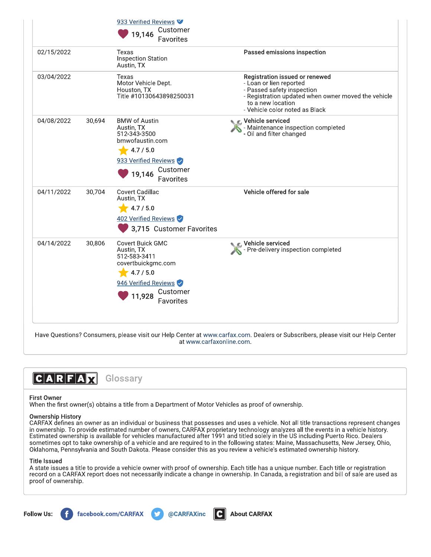|            |        | 933 Verified Reviews<br>Customer<br>19,146<br>Favorites                                                                                       |                                                                                                                                                                                                       |
|------------|--------|-----------------------------------------------------------------------------------------------------------------------------------------------|-------------------------------------------------------------------------------------------------------------------------------------------------------------------------------------------------------|
| 02/15/2022 |        | Texas<br><b>Inspection Station</b><br>Austin, TX                                                                                              | Passed emissions inspection                                                                                                                                                                           |
| 03/04/2022 |        | Texas<br>Motor Vehicle Dept.<br>Houston, TX<br>Title #10130643898250031                                                                       | Registration issued or renewed<br>- Loan or lien reported<br>- Passed safety inspection<br>- Registration updated when owner moved the vehicle<br>to a new location<br>- Vehicle color noted as Black |
| 04/08/2022 | 30,694 | <b>BMW of Austin</b><br>Austin, TX<br>512-343-3500<br>bmwofaustin.com<br>4.7 / 5.0<br>933 Verified Reviews<br>Customer<br>19,146<br>Favorites | C Vehicle serviced<br>- Maintenance inspection completed<br>- Oil and filter changed                                                                                                                  |
| 04/11/2022 | 30,704 | <b>Covert Cadillac</b><br>Austin, TX<br>4.7 / 5.0<br>402 Verified Reviews<br>3,715 Customer Favorites                                         | Vehicle offered for sale                                                                                                                                                                              |
| 04/14/2022 | 30,806 | Covert Buick GMC<br>Austin, TX<br>512-583-3411<br>covertbuickgmc.com<br>4.7 / 5.0<br>946 Verified Reviews<br>Customer<br>11,928<br>Favorites  | Vehicle serviced<br>Pre-delivery inspection completed                                                                                                                                                 |

Have Questions? Consumers, please visit our Help Center at www.carfax.com. Dealers or Subscribers, please visit our Help Center at www.carfaxonline.com.



## **First Owner**

When the first owner(s) obtains a title from a Department of Motor Vehicles as proof of ownership.

## **Ownership History**

CARFAX defines an owner as an individual or business that possesses and uses a vehicle. Not all title transactions represent changes in ownership. To provide estimated number of owners, CARFAX proprietary technology analyzes all the events in a vehicle history. Estimated ownership is available for vehicles manufactured after 1991 and titled solely in the US including Puerto Rico. Dealers sometimes opt to take ownership of a vehicle and are required to in the following states: Maine, Massachusetts, New Jersey, Ohio, Oklahoma, Pennsylvania and South Dakota. Please consider this as you review a vehicle's estimated ownership history.

## **Title Issued**

A state issues a title to provide a vehicle owner with proof of ownership. Each title has a unique number. Each title or registration record on a CARFAX report does not necessarily indicate a change in ownership. In Canada, a registration and bill of sale are used as proof of ownership.